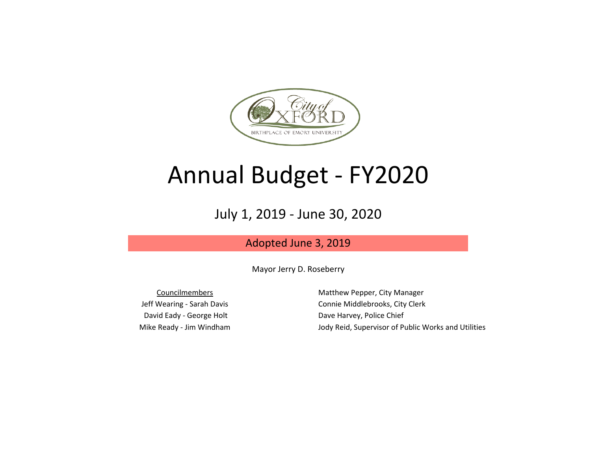

# Annual Budget - FY2020

## July 1, 2019 - June 30, 2020

## Adopted June 3, 2019

Mayor Jerry D. Roseberry

David Eady - George Holt Dave Harvey, Police Chief

Councilmembers **Matthew Pepper, City Manager** Jeff Wearing - Sarah Davis Connie Middlebrooks, City Clerk Mike Ready - Jim Windham Jody Reid, Supervisor of Public Works and Utilities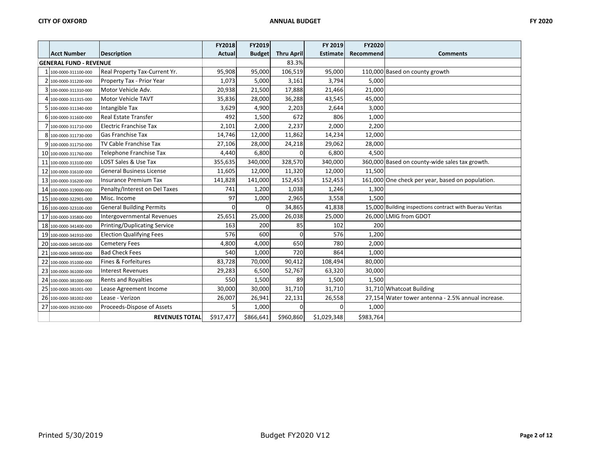|    |                               |                                     | <b>FY2018</b> | FY2019        |                   | FY 2019         | <b>FY2020</b> |                                                          |
|----|-------------------------------|-------------------------------------|---------------|---------------|-------------------|-----------------|---------------|----------------------------------------------------------|
|    | <b>Acct Number</b>            | <b>Description</b>                  | <b>Actual</b> | <b>Budget</b> | <b>Thru April</b> | <b>Estimate</b> | Recommend     | <b>Comments</b>                                          |
|    | <b>GENERAL FUND - REVENUE</b> |                                     |               |               | 83.3%             |                 |               |                                                          |
|    | 1 100-0000-311100-000         | Real Property Tax-Current Yr.       | 95,908        | 95,000        | 106,519           | 95,000          |               | 110,000 Based on county growth                           |
|    | 2 100-0000-311200-000         | Property Tax - Prior Year           | 1,073         | 5,000         | 3,161             | 3,794           | 5,000         |                                                          |
|    | 3 100-0000-311310-000         | Motor Vehicle Adv.                  | 20,938        | 21,500        | 17,888            | 21,466          | 21,000        |                                                          |
|    | 100-0000-311315-000           | <b>Motor Vehicle TAVT</b>           | 35,836        | 28,000        | 36,288            | 43,545          | 45,000        |                                                          |
|    | 5 100-0000-311340-000         | Intangible Tax                      | 3,629         | 4,900         | 2,203             | 2,644           | 3,000         |                                                          |
|    | 6 100-0000-311600-000         | Real Estate Transfer                | 492           | 1,500         | 672               | 806             | 1,000         |                                                          |
|    | 100-0000-311710-000           | Electric Franchise Tax              | 2,101         | 2,000         | 2,237             | 2,000           | 2,200         |                                                          |
| 8  | 100-0000-311730-000           | <b>Gas Franchise Tax</b>            | 14,746        | 12,000        | 11,862            | 14,234          | 12,000        |                                                          |
|    | 100-0000-311750-000           | <b>TV Cable Franchise Tax</b>       | 27,106        | 28,000        | 24,218            | 29,062          | 28,000        |                                                          |
|    | 10 100-0000-311760-000        | Telephone Franchise Tax             | 4,440         | 6,800         | $\Omega$          | 6,800           | 4,500         |                                                          |
|    | 11 100-0000-313100-000        | LOST Sales & Use Tax                | 355,635       | 340,000       | 328,570           | 340,000         |               | 360,000 Based on county-wide sales tax growth.           |
|    | 12 100-0000-316100-000        | <b>General Business License</b>     | 11,605        | 12,000        | 11,320            | 12,000          | 11,500        |                                                          |
|    | 13 100-0000-316200-000        | <b>Insurance Premium Tax</b>        | 141,828       | 141,000       | 152,453           | 152,453         |               | 161,000 One check per year, based on population.         |
| 14 | 100-0000-319000-000           | Penalty/Interest on Del Taxes       | 741           | 1,200         | 1,038             | 1,246           | 1,300         |                                                          |
|    | 15 100-0000-322901-000        | Misc. Income                        | 97            | 1,000         | 2,965             | 3,558           | 1,500         |                                                          |
|    | 16 100-0000-323100-000        | <b>General Building Permits</b>     | $\Omega$      | ი             | 34,865            | 41,838          |               | 15,000 Building inspections contract with Buerau Veritas |
|    | 17 100-0000-335800-000        | Intergovernmental Revenues          | 25,651        | 25,000        | 26,038            | 25,000          |               | 26,000 LMIG from GDOT                                    |
|    | 18 100-0000-341400-000        | <b>Printing/Duplicating Service</b> | 163           | 200           | 85                | 102             | 200           |                                                          |
| 19 | 100-0000-341910-000           | <b>Election Qualifying Fees</b>     | 576           | 600           | $\Omega$          | 576             | 1,200         |                                                          |
|    | 20 100-0000-349100-000        | <b>Cemetery Fees</b>                | 4,800         | 4,000         | 650               | 780             | 2,000         |                                                          |
| 21 | 100-0000-349300-000           | <b>Bad Check Fees</b>               | 540           | 1,000         | 720               | 864             | 1,000         |                                                          |
| 22 | 100-0000-351000-000           | Fines & Forfeitures                 | 83,728        | 70,000        | 90,412            | 108,494         | 80,000        |                                                          |
|    | 23 100-0000-361000-000        | <b>Interest Revenues</b>            | 29,283        | 6,500         | 52,767            | 63,320          | 30,000        |                                                          |
| 24 | 100-0000-381000-000           | Rents and Royalties                 | 550           | 1,500         | 89                | 1,500           | 1,500         |                                                          |
|    | 25 100-0000-381001-000        | Lease Agreement Income              | 30,000        | 30,000        | 31,710            | 31,710          |               | 31,710 Whatcoat Building                                 |
| 26 | 100-0000-381002-000           | Lease - Verizon                     | 26,007        | 26,941        | 22,131            | 26,558          |               | 27,154 Water tower antenna - 2.5% annual increase.       |
|    | 27 100-0000-392300-000        | Proceeds-Dispose of Assets          | 5             | 1,000         | $\Omega$          | U               | 1,000         |                                                          |
|    |                               | <b>REVENUES TOTAL</b>               | \$917,477     | \$866,641     | \$960,860         | \$1,029,348     | \$983,764     |                                                          |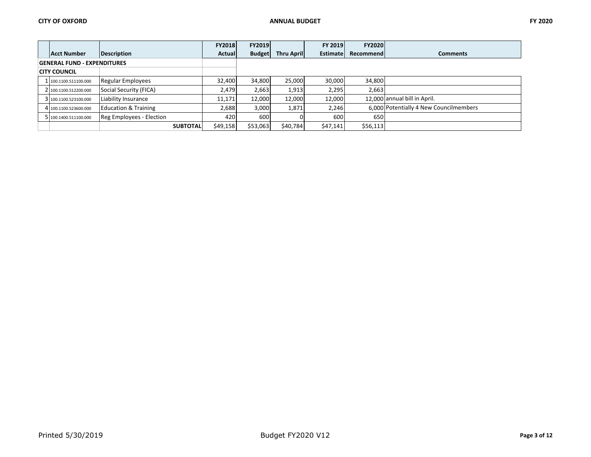|                                    |                                 | <b>FY2018</b> | <b>FY2019</b> |                    | <b>FY 2019</b> | <b>FY2020</b> |                                        |
|------------------------------------|---------------------------------|---------------|---------------|--------------------|----------------|---------------|----------------------------------------|
| <b>Acct Number</b>                 | Description                     | <b>Actual</b> | <b>Budget</b> | <b>Thru Aprill</b> | Estimate       | Recommend     | <b>Comments</b>                        |
| <b>GENERAL FUND - EXPENDITURES</b> |                                 |               |               |                    |                |               |                                        |
| <b>CITY COUNCIL</b>                |                                 |               |               |                    |                |               |                                        |
| 1 100.1100.511100.000              | <b>Regular Employees</b>        | 32,400        | 34,800        | 25,000             | 30,000         | 34.800        |                                        |
| 2 100.1100.512200.000              | Social Security (FICA)          | 2.479         | 2,663         | 1,913              | 2,295          | 2,663         |                                        |
| 3 100.1100.523100.000              | Liability Insurance             | 11.171        | 12.000        | 12.000             | 12.000         |               | 12.000 annual bill in April.           |
| 4 100.1100.523600.000              | <b>Education &amp; Training</b> | 2,688         | 3,000         | 1,871              | 2,246          |               | 6,000 Potentially 4 New Councilmembers |
| 5 100.1400.511100.000              | Reg Employees - Election        | 420           | 600           |                    | 600            | 650           |                                        |
|                                    | <b>SUBTOTAL</b>                 | \$49,158      | \$53,063      | \$40,784           | \$47,141       | \$56,113      |                                        |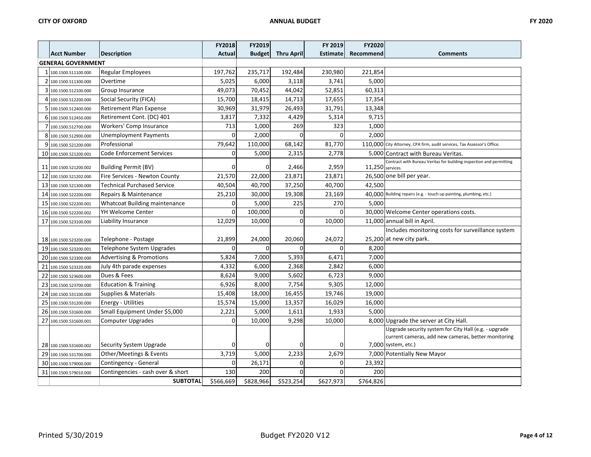|                           |                                     | <b>FY2018</b> | FY2019        |                   | FY 2019         | <b>FY2020</b>    |                                                                         |
|---------------------------|-------------------------------------|---------------|---------------|-------------------|-----------------|------------------|-------------------------------------------------------------------------|
| <b>Acct Number</b>        | <b>Description</b>                  | Actual        | <b>Budget</b> | <b>Thru April</b> | <b>Estimate</b> | Recommend        | <b>Comments</b>                                                         |
| <b>GENERAL GOVERNMENT</b> |                                     |               |               |                   |                 |                  |                                                                         |
| 1 100.1500.511100.000     | Regular Employees                   | 197,762       | 235,717       | 192,484           | 230,980         | 221,854          |                                                                         |
| 2 100.1500.511300.000     | Overtime                            | 5,025         | 6,000         | 3,118             | 3,741           | 5,000            |                                                                         |
| 3 100.1500.512100.000     | Group Insurance                     | 49,073        | 70,452        | 44,042            | 52,851          | 60,313           |                                                                         |
| 4 100.1500.512200.000     | Social Security (FICA)              | 15,700        | 18,415        | 14,713            | 17,655          | 17,354           |                                                                         |
| 5 100.1500.512400.000     | <b>Retirement Plan Expense</b>      | 30,969        | 31,979        | 26,493            | 31,791          | 13,348           |                                                                         |
| 6 100.1500.512450.000     | Retirement Cont. (DC) 401           | 3,817         | 7,332         | 4,429             | 5,314           | 9,715            |                                                                         |
| 7 100.1500.512700.000     | Workers' Comp Insurance             | 713           | 1,000         | 269               | 323             | 1,000            |                                                                         |
| 8 100.1500.512900.000     | <b>Unemployment Payments</b>        | $\Omega$      | 2,000         | $\Omega$          | $\Omega$        | 2,000            |                                                                         |
| 9 100.1500.521200.000     | Professional                        | 79,642        | 110,000       | 68,142            | 81,770          |                  | 110,000 City Attorney, CPA firm, audit services, Tax Assessor's Office. |
| 10 100.1500.521200.001    | <b>Code Enforcement Services</b>    | $\mathbf 0$   | 5,000         | 2,315             | 2,778           |                  | 5,000 Contract with Bureau Veritas.                                     |
| 11 100.1500.521200.002    | Building Permit (BV)                | $\Omega$      | $\Omega$      | 2,466             | 2,959           | 11,250 services. | Contract with Bureau Veritas for building inspection and permitting     |
| 12 100.1500.521202.000    | Fire Services - Newton County       | 21,570        | 22,000        | 23,871            | 23,871          |                  | 26,500 one bill per year.                                               |
| 13 100.1500.521300.000    | <b>Technical Purchased Service</b>  | 40,504        | 40,700        | 37,250            | 40,700          | 42,500           |                                                                         |
| 14 100.1500.522200.000    | Repairs & Maintenance               | 25,210        | 30,000        | 19,308            | 23,169          |                  | 40.000 Building repairs (e.g. - touch up painting, plumbing, etc.)      |
| 15 100.1500.522200.001    | Whatcoat Building maintenance       | $\mathbf 0$   | 5,000         | 225               | 270             | 5.000            |                                                                         |
| 16 100.1500.522200.002    | YH Welcome Center                   | $\mathbf 0$   | 100,000       | $\mathbf 0$       | $\Omega$        |                  | 30,000 Welcome Center operations costs.                                 |
| 17 100.1500.523100.000    | Liability Insurance                 | 12,029        | 10,000        | $\mathbf 0$       | 10,000          |                  | 11,000 annual bill in April.                                            |
|                           |                                     |               |               |                   |                 |                  | Includes monitoring costs for surveillance system                       |
| 18 100.1500.523200.000    | Telephone - Postage                 | 21,899        | 24,000        | 20,060            | 24,072          |                  | 25,200 at new city park.                                                |
| 19 100.1500.523200.001    | Telephone System Upgrades           | $\mathbf 0$   | $\Omega$      | $\Omega$          | $\Omega$        | 8,200            |                                                                         |
| 20 100.1500.523300.000    | <b>Advertising &amp; Promotions</b> | 5,824         | 7,000         | 5,393             | 6,471           | 7,000            |                                                                         |
| 21 100.1500.523320.000    | July 4th parade expenses            | 4,332         | 6,000         | 2,368             | 2,842           | 6,000            |                                                                         |
| 22 100.1500.523600.000    | Dues & Fees                         | 8,624         | 9,000         | 5,602             | 6,723           | 9,000            |                                                                         |
| 23 100.1500.523700.000    | <b>Education &amp; Training</b>     | 6,926         | 8,000         | 7,754             | 9,305           | 12,000           |                                                                         |
| 24 100.1500.531100.000    | <b>Supplies &amp; Materials</b>     | 15,408        | 18,000        | 16,455            | 19,746          | 19,000           |                                                                         |
| 25 100.1500.531200.000    | Energy - Utilities                  | 15,574        | 15,000        | 13,357            | 16,029          | 16,000           |                                                                         |
| 26 100.1500.531600.000    | Small Equipment Under \$5,000       | 2,221         | 5,000         | 1,611             | 1,933           | 5,000            |                                                                         |
| 27 100.1500.531600.001    | Computer Upgrades                   | $\mathbf 0$   | 10,000        | 9,298             | 10,000          |                  | 8,000 Upgrade the server at City Hall.                                  |
|                           |                                     |               |               |                   |                 |                  | Upgrade security system for City Hall (e.g. - upgrade                   |
|                           |                                     |               |               |                   |                 |                  | current cameras, add new cameras, better monitoring                     |
| 28 100.1500.531600.002    | Security System Upgrade             | $\Omega$      | $\Omega$      | $\Omega$          |                 |                  | 7,000 system, etc.)                                                     |
| 29 100.1500.531700.000    | Other/Meetings & Events             | 3,719         | 5,000         | 2,233             | 2,679           |                  | 7,000 Potentially New Mayor                                             |
| 30 100.1500.579000.000    | Contingency - General               | 0             | 26,171        | $\mathbf 0$       | $\Omega$        | 23,392           |                                                                         |
| 31 100.1500.579010.000    | Contingencies - cash over & short   | 130           | 200           | $\Omega$          | 0               | 200              |                                                                         |
|                           | <b>SUBTOTAL</b>                     | \$566,669     | \$828,966     | \$523,254         | \$627,973       | \$764,826        |                                                                         |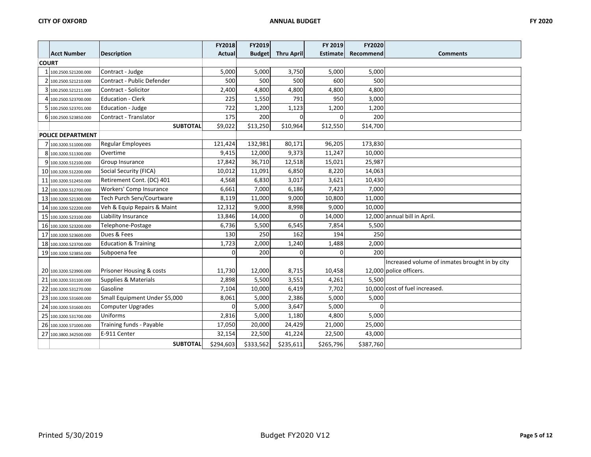|              |                          |                                 | FY2018        | FY2019        |                   | FY 2019         | <b>FY2020</b> |                                                |
|--------------|--------------------------|---------------------------------|---------------|---------------|-------------------|-----------------|---------------|------------------------------------------------|
|              | Acct Number              | <b>Description</b>              | <b>Actual</b> | <b>Budget</b> | <b>Thru April</b> | <b>Estimate</b> | Recommend     | <b>Comments</b>                                |
| <b>COURT</b> |                          |                                 |               |               |                   |                 |               |                                                |
|              | 1 100.2500.521200.000    | Contract - Judge                | 5,000         | 5,000         | 3,750             | 5,000           | 5,000         |                                                |
|              | 2 100.2500.521210.000    | Contract - Public Defender      | 500           | 500           | 500               | 600             | 500           |                                                |
|              | 3 100.2500.521211.000    | Contract - Solicitor            | 2,400         | 4,800         | 4,800             | 4,800           | 4,800         |                                                |
|              | 100.2500.523700.000      | <b>Education - Clerk</b>        | 225           | 1,550         | 791               | 950             | 3,000         |                                                |
|              | 5 100.2500.523701.000    | Education - Judge               | 722           | 1,200         | 1,123             | 1,200           | 1,200         |                                                |
|              | 6 100.2500.523850.000    | Contract - Translator           | 175           | 200           | U                 | 0               | 200           |                                                |
|              |                          | <b>SUBTOTAL</b>                 | \$9,022       | \$13,250      | \$10,964          | \$12,550        | \$14,700      |                                                |
|              | <b>POLICE DEPARTMENT</b> |                                 |               |               |                   |                 |               |                                                |
|              | 7 100.3200.511000.000    | Regular Employees               | 121,424       | 132,981       | 80,171            | 96,205          | 173,830       |                                                |
|              | 8 100.3200.511300.000    | Overtime                        | 9,415         | 12,000        | 9,373             | 11,247          | 10,000        |                                                |
|              | 9 100.3200.512100.000    | Group Insurance                 | 17,842        | 36,710        | 12,518            | 15,021          | 25,987        |                                                |
|              | 10 100.3200.512200.000   | Social Security (FICA)          | 10,012        | 11,091        | 6,850             | 8,220           | 14,063        |                                                |
|              | 11 100.3200.512450.000   | Retirement Cont. (DC) 401       | 4,568         | 6,830         | 3,017             | 3,621           | 10,430        |                                                |
|              | 12 100.3200.512700.000   | Workers' Comp Insurance         | 6,661         | 7,000         | 6,186             | 7,423           | 7,000         |                                                |
|              | 13 100.3200.521300.000   | Tech Purch Serv/Courtware       | 8,119         | 11,000        | 9,000             | 10,800          | 11,000        |                                                |
|              | 14 100.3200.522200.000   | Veh & Equip Repairs & Maint     | 12,312        | 9,000         | 8,998             | 9,000           | 10,000        |                                                |
|              | 15 100.3200.523100.000   | Liability Insurance             | 13,846        | 14,000        | $\Omega$          | 14,000          |               | 12,000 annual bill in April.                   |
|              | 16 100.3200.523200.000   | Telephone-Postage               | 6,736         | 5,500         | 6,545             | 7,854           | 5,500         |                                                |
|              | 17 100.3200.523600.000   | Dues & Fees                     | 130           | 250           | 162               | 194             | 250           |                                                |
|              | 18 100.3200.523700.000   | <b>Education &amp; Training</b> | 1,723         | 2,000         | 1,240             | 1,488           | 2,000         |                                                |
|              | 19 100.3200.523850.000   | Subpoena fee                    | $\Omega$      | 200           | $\Omega$          | $\Omega$        | 200           |                                                |
|              |                          |                                 |               |               |                   |                 |               | Increased volume of inmates brought in by city |
|              | 20 100.3200.523900.000   | Prisoner Housing & costs        | 11,730        | 12,000        | 8,715             | 10,458          |               | 12,000 police officers.                        |
|              | 21 100.3200.531100.000   | Supplies & Materials            | 2,898         | 5,500         | 3,551             | 4,261           | 5,500         |                                                |
|              | 22 100.3200.531270.000   | Gasoline                        | 7,104         | 10,000        | 6,419             | 7,702           |               | 10.000 cost of fuel increased.                 |
|              | 23 100.3200.531600.000   | Small Equipment Under \$5,000   | 8,061         | 5,000         | 2,386             | 5,000           | 5,000         |                                                |
|              | 24 100.3200.531600.001   | <b>Computer Upgrades</b>        | $\Omega$      | 5,000         | 3,647             | 5,000           | $\Omega$      |                                                |
|              | 25 100.3200.531700.000   | Uniforms                        | 2,816         | 5,000         | 1,180             | 4,800           | 5,000         |                                                |
|              | 26 100.3200.571000.000   | Training funds - Payable        | 17,050        | 20,000        | 24,429            | 21,000          | 25,000        |                                                |
|              | 27 100.3800.342500.000   | E-911 Center                    | 32,154        | 22,500        | 41,224            | 22,500          | 43,000        |                                                |
|              |                          | <b>SUBTOTAL</b>                 | \$294,603     | \$333,562     | \$235,611         | \$265,796       | \$387,760     |                                                |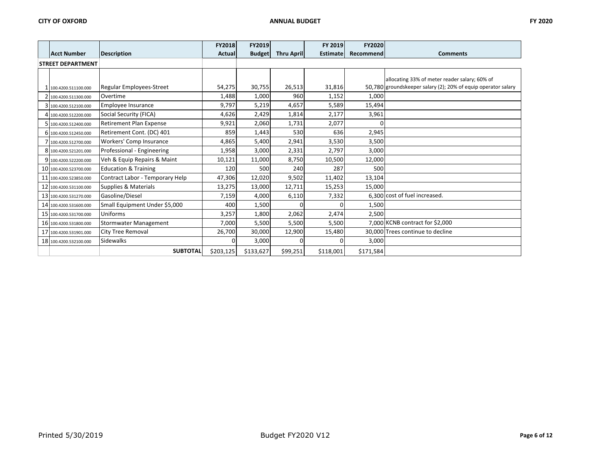|                          |                                 | <b>FY2018</b> | <b>FY2019</b> |                   | FY 2019         | <b>FY2020</b> |                                                               |
|--------------------------|---------------------------------|---------------|---------------|-------------------|-----------------|---------------|---------------------------------------------------------------|
| <b>Acct Number</b>       | <b>Description</b>              | Actual        | <b>Budget</b> | <b>Thru April</b> | <b>Estimate</b> | Recommend     | <b>Comments</b>                                               |
| <b>STREET DEPARTMENT</b> |                                 |               |               |                   |                 |               |                                                               |
|                          |                                 |               |               |                   |                 |               |                                                               |
|                          |                                 |               |               |                   |                 |               | allocating 33% of meter reader salary; 60% of                 |
| 100.4200.511100.000      | <b>Regular Employees-Street</b> | 54,275        | 30,755        | 26,513            | 31,816          |               | 50,780 groundskeeper salary (2); 20% of equip operator salary |
| 2 100.4200.511300.000    | Overtime                        | 1,488         | 1,000         | 960               | 1,152           | 1,000         |                                                               |
| 3 100.4200.512100.000    | Employee Insurance              | 9,797         | 5,219         | 4,657             | 5,589           | 15,494        |                                                               |
| 4 100.4200.512200.000    | Social Security (FICA)          | 4,626         | 2,429         | 1,814             | 2,177           | 3,961         |                                                               |
| 5 100.4200.512400.000    | <b>Retirement Plan Expense</b>  | 9,921         | 2,060         | 1,731             | 2,077           | $\Omega$      |                                                               |
| 6 100.4200.512450.000    | Retirement Cont. (DC) 401       | 859           | 1,443         | 530               | 636             | 2,945         |                                                               |
| 100.4200.512700.000      | Workers' Comp Insurance         | 4,865         | 5,400         | 2,941             | 3,530           | 3,500         |                                                               |
| 8 100.4200.521201.000    | Professional - Engineering      | 1,958         | 3,000         | 2,331             | 2,797           | 3,000         |                                                               |
| 9 100.4200.522200.000    | Veh & Equip Repairs & Maint     | 10,121        | 11,000        | 8,750             | 10,500          | 12,000        |                                                               |
| 10 100.4200.523700.000   | <b>Education &amp; Training</b> | 120           | 500           | 240               | 287             | 500           |                                                               |
| 11 100.4200.523850.000   | Contract Labor - Temporary Help | 47,306        | 12,020        | 9,502             | 11,402          | 13,104        |                                                               |
| 12 100.4200.531100.000   | Supplies & Materials            | 13,275        | 13,000        | 12,711            | 15,253          | 15,000        |                                                               |
| 13 100.4200.531270.000   | Gasoline/Diesel                 | 7,159         | 4,000         | 6,110             | 7,332           |               | 6,300 cost of fuel increased.                                 |
| 14 100.4200.531600.000   | Small Equipment Under \$5,000   | 400           | 1,500         | $\Omega$          |                 | 1,500         |                                                               |
| 15 100.4200.531700.000   | Uniforms                        | 3,257         | 1,800         | 2,062             | 2,474           | 2,500         |                                                               |
| 16 100.4200.531800.000   | Stormwater Management           | 7,000         | 5,500         | 5,500             | 5,500           |               | 7,000 KCNB contract for \$2,000                               |
| 17 100.4200.531901.000   | <b>City Tree Removal</b>        | 26,700        | 30,000        | 12,900            | 15,480          |               | 30,000 Trees continue to decline                              |
| 18 100.4200.532100.000   | Sidewalks                       | $\Omega$      | 3,000         | <sup>0</sup>      |                 | 3,000         |                                                               |
|                          | <b>SUBTOTAL</b>                 | \$203,125     | \$133,627     | \$99,251          | \$118,001       | \$171,584     |                                                               |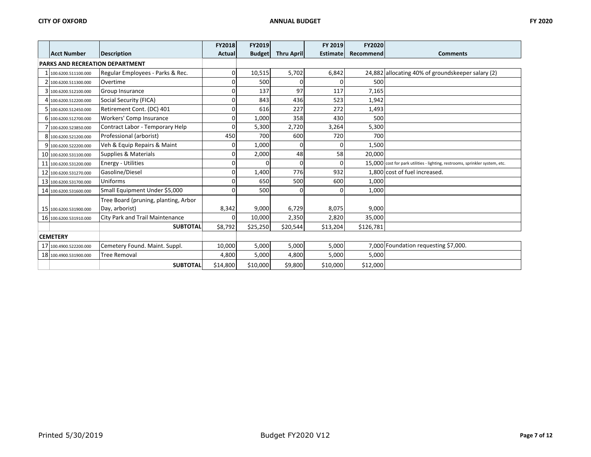|                                        |                                        | <b>FY2018</b> | <b>FY2019</b> |                   | FY 2019         | FY2020    |                                                                              |
|----------------------------------------|----------------------------------------|---------------|---------------|-------------------|-----------------|-----------|------------------------------------------------------------------------------|
| <b>Acct Number</b>                     | <b>Description</b>                     | <b>Actual</b> | <b>Budget</b> | <b>Thru April</b> | <b>Estimate</b> | Recommend | <b>Comments</b>                                                              |
| <b>PARKS AND RECREATION DEPARTMENT</b> |                                        |               |               |                   |                 |           |                                                                              |
| 100.6200.511100.000                    | Regular Employees - Parks & Rec.       | 0             | 10,515        | 5,702             | 6,842           |           | 24,882 allocating 40% of groundskeeper salary (2)                            |
| 2 100.6200.511300.000                  | Overtime                               | $\mathbf 0$   | 500           |                   |                 | 500       |                                                                              |
| 3 100.6200.512100.000                  | Group Insurance                        | $\mathbf 0$   | 137           | 97                | 117             | 7,165     |                                                                              |
| 4 100.6200.512200.000                  | Social Security (FICA)                 | $\mathbf 0$   | 843           | 436               | 523             | 1,942     |                                                                              |
| 5 100.6200.512450.000                  | Retirement Cont. (DC) 401              | 0             | 616           | 227               | 272             | 1,493     |                                                                              |
| 6 100.6200.512700.000                  | Workers' Comp Insurance                | $\mathbf 0$   | 1,000         | 358               | 430             | 500       |                                                                              |
| 100.6200.523850.000                    | Contract Labor - Temporary Help        | $\Omega$      | 5,300         | 2,720             | 3,264           | 5,300     |                                                                              |
| 8 100.6200.521200.000                  | Professional (arborist)                | 450           | 700           | 600               | 720             | 700       |                                                                              |
| 9 100.6200.522200.000                  | Veh & Equip Repairs & Maint            | 0             | 1,000         | $\overline{0}$    |                 | 1,500     |                                                                              |
| 10 100.6200.531100.000                 | Supplies & Materials                   | $\mathbf 0$   | 2,000         | 48                | 58              | 20,000    |                                                                              |
| 11 100.6200.531200.000                 | <b>Energy - Utilities</b>              | $\mathbf 0$   | 0             | $\Omega$          |                 |           | 15,000 cost for park utilities - lighting, restrooms, sprinkler system, etc. |
| 12 100.6200.531270.000                 | Gasoline/Diesel                        | $\mathbf 0$   | 1,400         | 776               | 932             |           | 1,800 cost of fuel increased.                                                |
| 13 100.6200.531700.000                 | Uniforms                               | $\mathbf 0$   | 650           | 500               | 600             | 1,000     |                                                                              |
| 14 100.6200.531600.000                 | Small Equipment Under \$5,000          | $\Omega$      | 500           | $\Omega$          |                 | 1,000     |                                                                              |
|                                        | Tree Board (pruning, planting, Arbor   |               |               |                   |                 |           |                                                                              |
| 15 100.6200.531900.000                 | Day, arborist)                         | 8,342         | 9,000         | 6,729             | 8,075           | 9,000     |                                                                              |
| 16 100.6200.531910.000                 | <b>City Park and Trail Maintenance</b> | $\Omega$      | 10,000        | 2,350             | 2,820           | 35,000    |                                                                              |
|                                        | <b>SUBTOTAL</b>                        | \$8,792       | \$25,250      | \$20,544          | \$13,204        | \$126,781 |                                                                              |
| <b>CEMETERY</b>                        |                                        |               |               |                   |                 |           |                                                                              |
| 17 100.4900.522200.000                 | Cemetery Found. Maint. Suppl.          | 10,000        | 5,000         | 5,000             | 5,000           |           | 7,000 Foundation requesting \$7,000.                                         |
| 18 100.4900.531900.000                 | <b>Tree Removal</b>                    | 4,800         | 5,000         | 4,800             | 5,000           | 5,000     |                                                                              |
|                                        | <b>SUBTOTAL</b>                        | \$14,800      | \$10,000      | \$9,800           | \$10,000        | \$12,000  |                                                                              |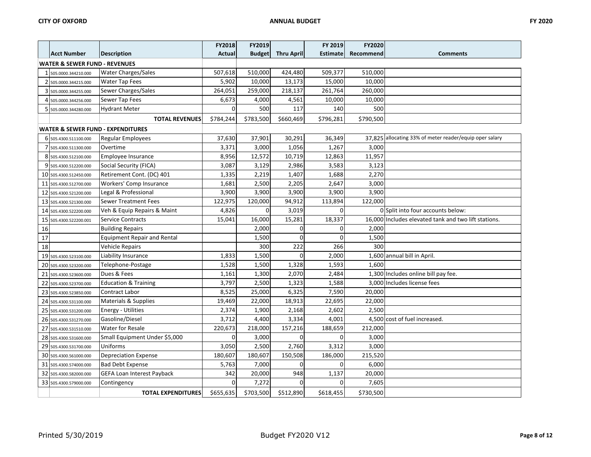|    |                                              |                                   | <b>FY2018</b> | FY2019        |                   | FY 2019         | FY2020    |                                                         |
|----|----------------------------------------------|-----------------------------------|---------------|---------------|-------------------|-----------------|-----------|---------------------------------------------------------|
|    | <b>Acct Number</b>                           | <b>Description</b>                | <b>Actual</b> | <b>Budget</b> | <b>Thru April</b> | <b>Estimate</b> | Recommend | <b>Comments</b>                                         |
|    | <b>WATER &amp; SEWER FUND - REVENUES</b>     |                                   |               |               |                   |                 |           |                                                         |
|    | 1 505.0000.344210.000                        | <b>Water Charges/Sales</b>        | 507,618       | 510,000       | 424,480           | 509,377         | 510,000   |                                                         |
|    | 2 505.0000.344215.000                        | <b>Water Tap Fees</b>             | 5,902         | 10,000        | 13,173            | 15,000          | 10,000    |                                                         |
|    | 3 505.0000.344255.000                        | Sewer Charges/Sales               | 264,051       | 259,000       | 218,137           | 261,764         | 260,000   |                                                         |
|    | 4 505.0000.344256.000                        | Sewer Tap Fees                    | 6,673         | 4,000         | 4,561             | 10,000          | 10,000    |                                                         |
|    | 5 505.0000.344280.000                        | <b>Hydrant Meter</b>              | $\Omega$      | 500           | 117               | 140             | 500       |                                                         |
|    |                                              | <b>TOTAL REVENUES</b>             | \$784,244     | \$783,500     | \$660,469         | \$796,281       | \$790,500 |                                                         |
|    | <b>WATER &amp; SEWER FUND - EXPENDITURES</b> |                                   |               |               |                   |                 |           |                                                         |
|    | 6 505.4300.511100.000                        | <b>Regular Employees</b>          | 37,630        | 37,901        | 30,291            | 36,349          |           | 37,825 allocating 33% of meter reader/equip oper salary |
|    | 505.4300.511300.000                          | Overtime                          | 3,371         | 3,000         | 1,056             | 1,267           | 3,000     |                                                         |
|    | 8 505.4300.512100.000                        | Employee Insurance                | 8,956         | 12,572        | 10,719            | 12,863          | 11,957    |                                                         |
|    | 9 505.4300.512200.000                        | Social Security (FICA)            | 3,087         | 3,129         | 2,986             | 3,583           | 3,123     |                                                         |
|    | 10 505.4300.512450.000                       | Retirement Cont. (DC) 401         | 1,335         | 2,219         | 1,407             | 1,688           | 2,270     |                                                         |
|    | 11 505.4300.512700.000                       | Workers' Comp Insurance           | 1,681         | 2,500         | 2,205             | 2,647           | 3,000     |                                                         |
|    | 12 505.4300.521200.000                       | Legal & Professional              | 3,900         | 3,900         | 3,900             | 3,900           | 3,900     |                                                         |
|    | 13 505.4300.521300.000                       | <b>Sewer Treatment Fees</b>       | 122,975       | 120,000       | 94,912            | 113,894         | 122,000   |                                                         |
|    | 14 505.4300.522200.000                       | Veh & Equip Repairs & Maint       | 4,826         | $\mathbf 0$   | 3,019             | $\Omega$        |           | 0 Split into four accounts below:                       |
|    | 15 505.4300.522200.001                       | <b>Service Contracts</b>          | 15,041        | 16,000        | 15,281            | 18,337          |           | 16,000 Includes elevated tank and two lift stations.    |
| 16 |                                              | <b>Building Repairs</b>           |               | 2,000         | $\Omega$          | 0               | 2,000     |                                                         |
| 17 |                                              | Equipment Repair and Rental       |               | 1,500         | $\Omega$          | 0               | 1,500     |                                                         |
| 18 |                                              | Vehicle Repairs                   |               | 300           | 222               | 266             | 300       |                                                         |
|    | 19 505.4300.523100.000                       | Liability Insurance               | 1,833         | 1,500         | $\Omega$          | 2,000           |           | 1,600 annual bill in April.                             |
|    | 20 505.4300.523200.000                       | Telephone-Postage                 | 1,528         | 1,500         | 1,328             | 1,593           | 1,600     |                                                         |
|    | 21 505.4300.523600.000                       | Dues & Fees                       | 1,161         | 1,300         | 2,070             | 2,484           |           | 1,300 Includes online bill pay fee.                     |
|    | 22 505.4300.523700.000                       | <b>Education &amp; Training</b>   | 3,797         | 2,500         | 1,323             | 1,588           |           | 3.000 Includes license fees                             |
|    | 23 505.4300.523850.000                       | <b>Contract Labor</b>             | 8,525         | 25,000        | 6,325             | 7,590           | 20,000    |                                                         |
|    | 24 505.4300.531100.000                       | Materials & Supplies              | 19,469        | 22,000        | 18,913            | 22,695          | 22,000    |                                                         |
|    | 25 505.4300.531200.000                       | <b>Energy - Utilities</b>         | 2,374         | 1,900         | 2,168             | 2,602           | 2,500     |                                                         |
|    | 26 505.4300.531270.000                       | Gasoline/Diesel                   | 3,712         | 4,400         | 3,334             | 4,001           |           | 4,500 cost of fuel increased.                           |
|    | 27 505.4300.531510.000                       | <b>Water for Resale</b>           | 220,673       | 218,000       | 157,216           | 188,659         | 212,000   |                                                         |
|    | 28 505.4300.531600.000                       | Small Equipment Under \$5,000     | $\mathbf 0$   | 3,000         | $\Omega$          | 0               | 3,000     |                                                         |
|    | 29 505.4300.531700.000                       | Uniforms                          | 3,050         | 2,500         | 2,760             | 3,312           | 3,000     |                                                         |
|    | 30 505.4300.561000.000                       | <b>Depreciation Expense</b>       | 180,607       | 180,607       | 150,508           | 186,000         | 215,520   |                                                         |
|    | 31 505.4300.574000.000                       | <b>Bad Debt Expense</b>           | 5,763         | 7,000         | $\overline{0}$    | 0               | 6,000     |                                                         |
|    | 32 505.4300.582000.000                       | <b>GEFA Loan Interest Payback</b> | 342           | 20,000        | 948               | 1,137           | 20,000    |                                                         |
|    | 33 505.4300.579000.000                       | Contingency                       | $\mathbf 0$   | 7,272         | $\Omega$          | $\overline{0}$  | 7,605     |                                                         |
|    |                                              | <b>TOTAL EXPENDITURES</b>         | \$655,635     | \$703,500     | \$512,890         | \$618,455       | \$730,500 |                                                         |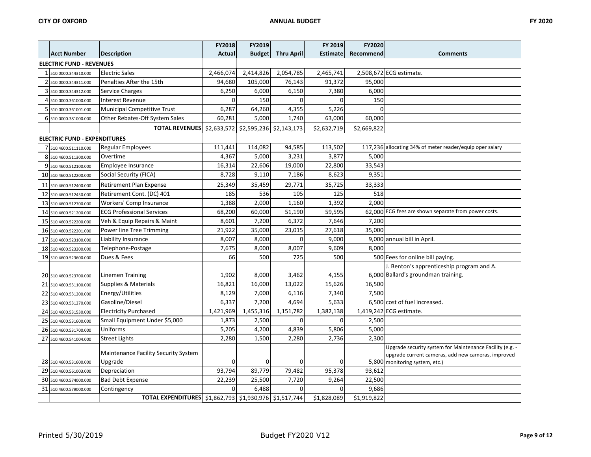|                                                  |                                                        | <b>FY2018</b> | <b>FY2019</b> |                   | FY 2019         | <b>FY2020</b> |                                                          |
|--------------------------------------------------|--------------------------------------------------------|---------------|---------------|-------------------|-----------------|---------------|----------------------------------------------------------|
| <b>Acct Number</b>                               | <b>Description</b>                                     | <b>Actual</b> | <b>Budget</b> | <b>Thru April</b> | <b>Estimate</b> | Recommend     | <b>Comments</b>                                          |
| <b>ELECTRIC FUND - REVENUES</b>                  |                                                        |               |               |                   |                 |               |                                                          |
| 1510.0000.344310.000                             | <b>Electric Sales</b>                                  | 2,466,074     | 2,414,826     | 2,054,785         | 2,465,741       |               | 2,508,672 ECG estimate.                                  |
| 2 510.0000.344311.000                            | Penalties After the 15th                               | 94,680        | 105,000       | 76,143            | 91,372          | 95,000        |                                                          |
| 3 510.0000.344312.000                            | Service Charges                                        | 6,250         | 6,000         | 6,150             | 7,380           | 6,000         |                                                          |
| 4 510.0000.361000.000                            | Interest Revenue                                       | $\Omega$      | 150           | $\Omega$          | $\Omega$        | 150           |                                                          |
| 5 510.0000.361001.000                            | Municipal Competitive Trust                            | 6,287         | 64,260        | 4,355             | 5,226           | $\Omega$      |                                                          |
| 6 510.0000.381000.000                            | Other Rebates-Off System Sales                         | 60,281        | 5,000         | 1,740             | 63,000          | 60,000        |                                                          |
|                                                  | TOTAL REVENUES \$2,633,572 \$2,595,236 \$2,143,173     |               |               |                   | \$2,632,719     | \$2,669,822   |                                                          |
| <b>ELECTRIC FUND - EXPENDITURES</b>              |                                                        |               |               |                   |                 |               |                                                          |
| 7 510.4600.511110.000                            | <b>Regular Employees</b>                               | 111,441       | 114,082       | 94,585            | 113,502         |               | 117,236 allocating 34% of meter reader/equip oper salary |
| 8 510.4600.511300.000                            | Overtime                                               | 4,367         | 5,000         | 3,231             | 3,877           | 5,000         |                                                          |
| 9 510.4600.512100.000                            | Employee Insurance                                     | 16,314        | 22,606        | 19,000            | 22,800          | 33,543        |                                                          |
| 10 510.4600.512200.000                           | Social Security (FICA)                                 | 8,728         | 9,110         | 7,186             | 8,623           | 9,351         |                                                          |
| 11 510.4600.512400.000                           | Retirement Plan Expense                                | 25,349        | 35,459        | 29,771            | 35,725          | 33,333        |                                                          |
| 12 510.4600.512450.000                           | Retirement Cont. (DC) 401                              | 185           | 536           | 105               | 125             | 518           |                                                          |
| 13 510.4600.512700.000                           | Workers' Comp Insurance                                | 1,388         | 2,000         | 1,160             | 1,392           | 2,000         |                                                          |
| 14 510.4600.521200.000                           | <b>ECG Professional Services</b>                       | 68,200        | 60,000        | 51,190            | 59,595          |               | 62,000 ECG fees are shown separate from power costs.     |
| 15 510.4600.522200.000                           | Veh & Equip Repairs & Maint                            | 8,601         | 7,200         | 6,372             | 7,646           | 7,200         |                                                          |
| 16 510.4600.522201.000                           | Power line Tree Trimming                               | 21,922        | 35,000        | 23,015            | 27,618          | 35,000        |                                                          |
| 17 510.4600.523100.000                           | Liability Insurance                                    | 8,007         | 8,000         | $\Omega$          | 9,000           |               | 9,000 annual bill in April.                              |
| 18 510.4600.523200.000                           | Telephone-Postage                                      | 7,675         | 8,000         | 8,007             | 9,609           | 8,000         |                                                          |
| 19 510.4600.523600.000                           | Dues & Fees                                            | 66            | 500           | 725               | 500             |               | 500 Fees for online bill paying.                         |
|                                                  |                                                        |               |               |                   |                 |               | J. Benton's apprenticeship program and A.                |
| 20 510.4600.523700.000                           | Linemen Training                                       | 1,902         | 8,000         | 3,462             | 4,155           |               | 6.000 Ballard's groundman training.                      |
| 21 510.4600.531100.000                           | Supplies & Materials                                   | 16,821        | 16,000        | 13,022            | 15,626          | 16,500        |                                                          |
| 22 510.4600.531200.000                           | Energy/Utilities                                       | 8,129         | 7,000         | 6,116             | 7,340           | 7,500         |                                                          |
| 23 510.4600.531270.000                           | Gasoline/Diesel                                        | 6,337         | 7,200         | 4,694             | 5,633           |               | 6.500 cost of fuel increased.                            |
| 24 510.4600.531530.000                           | <b>Electricity Purchased</b>                           | 1,421,969     | 1,455,316     | 1,151,782         | 1,382,138       |               | 1,419,242 ECG estimate.                                  |
| 25 510.4600.531600.000                           | Small Equipment Under \$5,000                          | 1,873         | 2,500         | $\Omega$          | $\Omega$        | 2,500         |                                                          |
| 26 510.4600.531700.000                           | Uniforms                                               | 5,205         | 4,200         | 4,839             | 5,806           | 5,000         |                                                          |
| 27 510.4600.541004.000                           | <b>Street Lights</b>                                   | 2,280         | 1,500         | 2,280             | 2,736           | 2,300         |                                                          |
|                                                  |                                                        |               |               |                   |                 |               | Upgrade security system for Maintenance Facility (e.g. - |
|                                                  | <b>Maintenance Facility Security System</b><br>Upgrade | 0             | 0             | $\overline{0}$    | 0               |               | upgrade current cameras, add new cameras, improved       |
| 28 510.4600.531600.000<br>29 510.4600.561003.000 | Depreciation                                           | 93,794        | 89,779        | 79,482            | 95,378          | 93,612        | 5,800 monitoring system, etc.)                           |
| 30 510.4600.574000.000                           | <b>Bad Debt Expense</b>                                | 22,239        | 25,500        | 7,720             | 9,264           | 22,500        |                                                          |
| 31 510.4600.579000.000                           | Contingency                                            | 0             | 6,488         | $\Omega$          | 0               | 9,686         |                                                          |
|                                                  | TOTAL EXPENDITURES \$1,862,793 \$1,930,976 \$1,517,744 |               |               |                   | \$1,828,089     | \$1,919,822   |                                                          |
|                                                  |                                                        |               |               |                   |                 |               |                                                          |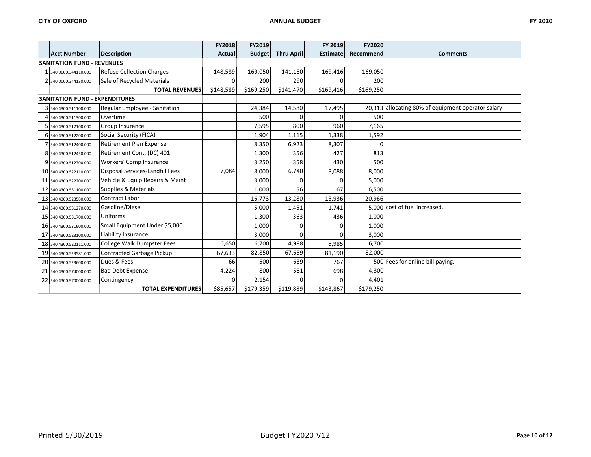|                                       |                                  | FY2018        | FY2019        |                   | FY 2019         | FY2020    |                                                    |
|---------------------------------------|----------------------------------|---------------|---------------|-------------------|-----------------|-----------|----------------------------------------------------|
| <b>Acct Number</b>                    | <b>Description</b>               | <b>Actual</b> | <b>Budget</b> | <b>Thru April</b> | <b>Estimate</b> | Recommend | <b>Comments</b>                                    |
| <b>SANITATION FUND - REVENUES</b>     |                                  |               |               |                   |                 |           |                                                    |
| 540.0000.344110.000                   | <b>Refuse Collection Charges</b> | 148,589       | 169.050       | 141,180           | 169,416         | 169,050   |                                                    |
| 2 540.0000.344130.000                 | Sale of Recycled Materials       | 0             | 200           | 290               |                 | 200       |                                                    |
|                                       | <b>TOTAL REVENUES</b>            | \$148,589     | \$169,250     | \$141,470         | \$169,416       | \$169,250 |                                                    |
| <b>SANITATION FUND - EXPENDITURES</b> |                                  |               |               |                   |                 |           |                                                    |
| 3 540.4300.511100.000                 | Regular Employee - Sanitation    |               | 24,384        | 14,580            | 17,495          |           | 20,313 allocating 80% of equipment operator salary |
| 4 540.4300.511300.000                 | Overtime                         |               | 500           | $\Omega$          | U               | 500       |                                                    |
| 5 540.4300.512100.000                 | Group Insurance                  |               | 7,595         | 800               | 960             | 7,165     |                                                    |
| 6 540.4300.512200.000                 | Social Security (FICA)           |               | 1,904         | 1,115             | 1,338           | 1,592     |                                                    |
| 540.4300.512400.000                   | <b>Retirement Plan Expense</b>   |               | 8,350         | 6,923             | 8,307           | $\Omega$  |                                                    |
| 8 540.4300.512450.000                 | Retirement Cont. (DC) 401        |               | 1,300         | 356               | 427             | 813       |                                                    |
| 9 540.4300.512700.000                 | Workers' Comp Insurance          |               | 3,250         | 358               | 430             | 500       |                                                    |
| 10 540.4300.522110.000                | Disposal Services-Landfill Fees  | 7,084         | 8,000         | 6,740             | 8,088           | 8,000     |                                                    |
| 11 540.4300.522200.000                | Vehicle & Equip Repairs & Maint  |               | 3,000         | C                 |                 | 5,000     |                                                    |
| 12 540.4300.531100.000                | <b>Supplies &amp; Materials</b>  |               | 1,000         | 56                | 67              | 6,500     |                                                    |
| 13 540.4300.523580.000                | <b>Contract Labor</b>            |               | 16,773        | 13,280            | 15,936          | 20,966    |                                                    |
| 14 540.4300.531270.000                | Gasoline/Diesel                  |               | 5,000         | 1,451             | 1,741           |           | 5,000 cost of fuel increased.                      |
| 15 540.4300.531700.000                | Uniforms                         |               | 1,300         | 363               | 436             | 1,000     |                                                    |
| 16 540.4300.531600.000                | Small Equipment Under \$5,000    |               | 1,000         | $\Omega$          | U               | 1,000     |                                                    |
| 17 540.4300.523100.000                | Liability Insurance              |               | 3,000         | $\Omega$          |                 | 3,000     |                                                    |
| 18 540.4300.522111.000                | College Walk Dumpster Fees       | 6,650         | 6,700         | 4,988             | 5,985           | 6,700     |                                                    |
| 19 540.4300.523581.000                | Contracted Garbage Pickup        | 67,633        | 82,850        | 67,659            | 81,190          | 82,000    |                                                    |
| 20 540.4300.523600.000                | Dues & Fees                      | 66            | 500           | 639               | 767             |           | 500 Fees for online bill paying.                   |
| 21 540.4300.574000.000                | <b>Bad Debt Expense</b>          | 4,224         | 800           | 581               | 698             | 4,300     |                                                    |
| 22 540.4300.579000.000                | Contingency                      | $\Omega$      | 2,154         | $\Omega$          | U               | 4,401     |                                                    |
|                                       | <b>TOTAL EXPENDITURES</b>        | \$85,657      | \$179,359     | \$119,889         | \$143,867       | \$179,250 |                                                    |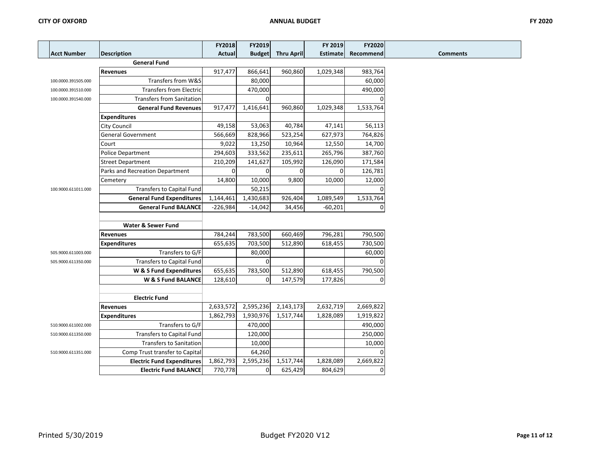|                     |                                   | FY2018     | FY2019        |                   | FY 2019         | FY2020         |                 |
|---------------------|-----------------------------------|------------|---------------|-------------------|-----------------|----------------|-----------------|
| Acct Number         | <b>Description</b>                | Actual     | <b>Budget</b> | <b>Thru April</b> | <b>Estimate</b> | Recommend      | <b>Comments</b> |
|                     | <b>General Fund</b>               |            |               |                   |                 |                |                 |
|                     | <b>Revenues</b>                   | 917,477    | 866,641       | 960,860           | 1,029,348       | 983,764        |                 |
| 100.0000.391505.000 | Transfers from W&S                |            | 80,000        |                   |                 | 60,000         |                 |
| 100.0000.391510.000 | <b>Transfers from Electric</b>    |            | 470,000       |                   |                 | 490,000        |                 |
| 100.0000.391540.000 | <b>Transfers from Sanitation</b>  |            | $\Omega$      |                   |                 |                |                 |
|                     | <b>General Fund Revenues</b>      | 917,477    | 1,416,641     | 960,860           | 1,029,348       | 1,533,764      |                 |
|                     | <b>Expenditures</b>               |            |               |                   |                 |                |                 |
|                     | <b>City Council</b>               | 49,158     | 53,063        | 40,784            | 47,141          | 56,113         |                 |
|                     | <b>General Government</b>         | 566,669    | 828,966       | 523,254           | 627,973         | 764,826        |                 |
|                     | Court                             | 9.022      | 13,250        | 10,964            | 12,550          | 14,700         |                 |
|                     | Police Department                 | 294,603    | 333,562       | 235,611           | 265,796         | 387,760        |                 |
|                     | <b>Street Department</b>          | 210,209    | 141,627       | 105,992           | 126,090         | 171,584        |                 |
|                     | Parks and Recreation Department   | $\Omega$   | $\Omega$      | 0                 | $\Omega$        | 126,781        |                 |
|                     | Cemetery                          | 14,800     | 10,000        | 9,800             | 10,000          | 12,000         |                 |
| 100.9000.611011.000 | Transfers to Capital Fund         |            | 50,215        |                   |                 | 0              |                 |
|                     | <b>General Fund Expenditures</b>  | 1,144,461  | 1,430,683     | 926,404           | 1,089,549       | 1,533,764      |                 |
|                     | <b>General Fund BALANCE</b>       | $-226,984$ | $-14,042$     | 34,456            | $-60,201$       | $\Omega$       |                 |
|                     |                                   |            |               |                   |                 |                |                 |
|                     | <b>Water &amp; Sewer Fund</b>     |            |               |                   |                 |                |                 |
|                     | <b>Revenues</b>                   | 784,244    | 783,500       | 660,469           | 796,281         | 790,500        |                 |
|                     | <b>Expenditures</b>               | 655,635    | 703,500       | 512,890           | 618,455         | 730,500        |                 |
| 505.9000.611003.000 | Transfers to G/F                  |            | 80,000        |                   |                 | 60,000         |                 |
| 505.9000.611350.000 | Transfers to Capital Fund         |            | $\mathbf 0$   |                   |                 | $\Omega$       |                 |
|                     | W & S Fund Expenditures           | 655,635    | 783,500       | 512,890           | 618,455         | 790,500        |                 |
|                     | W & S Fund BALANCE                | 128,610    | $\mathbf 0$   | 147,579           | 177,826         | $\overline{0}$ |                 |
|                     |                                   |            |               |                   |                 |                |                 |
|                     | <b>Electric Fund</b>              |            |               |                   |                 |                |                 |
|                     | <b>Revenues</b>                   | 2,633,572  | 2,595,236     | 2,143,173         | 2,632,719       | 2,669,822      |                 |
|                     | <b>Expenditures</b>               | 1,862,793  | 1,930,976     | 1,517,744         | 1,828,089       | 1,919,822      |                 |
| 510.9000.611002.000 | Transfers to G/F                  |            | 470,000       |                   |                 | 490,000        |                 |
| 510.9000.611350.000 | Transfers to Capital Fund         |            | 120,000       |                   |                 | 250,000        |                 |
|                     | <b>Transfers to Sanitation</b>    |            | 10,000        |                   |                 | 10,000         |                 |
| 510.9000.611351.000 | Comp Trust transfer to Capital    |            | 64,260        |                   |                 | $\Omega$       |                 |
|                     | <b>Electric Fund Expenditures</b> | 1,862,793  | 2,595,236     | 1,517,744         | 1,828,089       | 2,669,822      |                 |
|                     | <b>Electric Fund BALANCE</b>      | 770,778    | $\mathbf 0$   | 625,429           | 804,629         | $\overline{0}$ |                 |